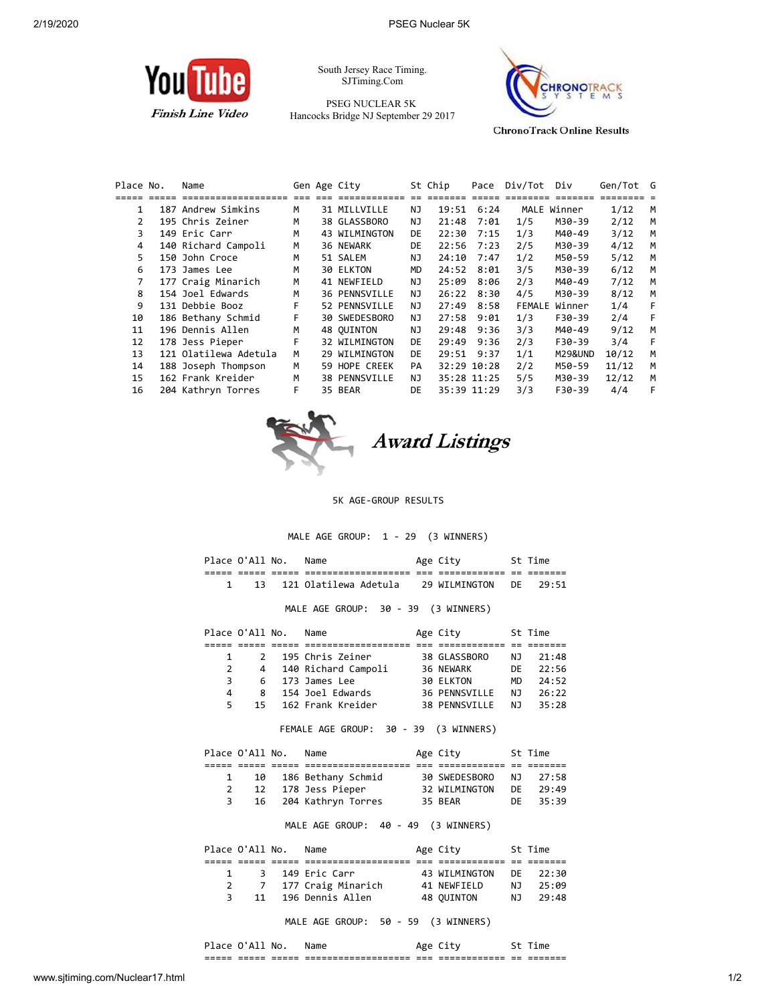

South Jersey Race Timing. SJTiming.Com

PSEG NUCLEAR 5K Hancocks Bridge NJ September 29 2017



**ChronoTrack Online Results** 

| Place No. | Name                  |   | Gen Age City         |     | St Chip     | Pace        | Div/Tot | Div                | Gen/Tot G |   |
|-----------|-----------------------|---|----------------------|-----|-------------|-------------|---------|--------------------|-----------|---|
|           |                       |   |                      |     |             |             |         |                    |           |   |
| 1         | 187 Andrew Simkins    | м | 31 MILLVILLE         | NJ  | 19:51       | 6:24        |         | MALE Winner        | 1/12      | M |
| 2         | 195 Chris Zeiner      | М | 38 GLASSBORO         | ΝJ  | 21:48       | 7:01        | 1/5     | M30-39             | 2/12      | M |
| 3         | 149 Eric Carr         | М | 43 WILMINGTON        | DE  | 22:30       | 7:15        | 1/3     | M40-49             | 3/12      | M |
| 4         | 140 Richard Campoli   | M | 36 NEWARK            | DE  | 22:56       | 7:23        | 2/5     | M30-39             | 4/12      | M |
| 5.        | 150 John Croce        | М | 51 SALEM             | NJ  | 24:10       | 7:47        | 1/2     | M50-59             | 5/12      | M |
| 6         | 173 James Lee         | м | 30 ELKTON            | MD  | 24:52       | 8:01        | 3/5     | M30-39             | 6/12      | м |
| 7         | 177 Craig Minarich    | М | 41 NEWFIELD          | NJ  | 25:09       | 8:06        | 2/3     | M40-49             | 7/12      | м |
| 8         | 154 Joel Edwards      | М | <b>36 PENNSVILLE</b> | ΝJ  | 26:22       | 8:30        | 4/5     | M30-39             | 8/12      | м |
| 9         | 131 Debbie Booz       | F | 52 PENNSVILLE        | NJ  | 27:49       | 8:58        | FEMALE  | Winner             | 1/4       | F |
| 10        | 186 Bethany Schmid    | F | 30 SWEDESBORO        | NJ  | 27:58       | 9:01        | 1/3     | F30-39             | 2/4       | F |
| 11        | 196 Dennis Allen      | М | 48 OUINTON           | NJ  | 29:48       | 9:36        | 3/3     | M40-49             | 9/12      | м |
| 12        | 178 Jess Pieper       | F | 32 WILMINGTON        | DE  | 29:49       | 9:36        | 2/3     | F30-39             | 3/4       | F |
| 13        | 121 Olatilewa Adetula | М | 29 WILMINGTON        | DE  | 29:51 9:37  |             | 1/1     | <b>M29&amp;UND</b> | 10/12     | м |
| 14        | 188 Joseph Thompson   | M | 59 HOPE CREEK        | PA  |             | 32:29 10:28 | 2/2     | M50-59             | 11/12     | м |
| 15        | 162 Frank Kreider     | M | 38 PENNSVILLE        | NJ. |             | 35:28 11:25 | 5/5     | M30-39             | 12/12     | м |
| 16        | 204 Kathryn Torres    | F | 35 BEAR              | DE  | 35:39 11:29 |             | 3/3     | F30-39             | 4/4       | F |



**Award Listings** 

5K AGE-GROUP RESULTS

MALE AGE GROUP: 1 - 29 (3 WINNERS)

|       | Place O'All No. | Name                  |     | Age City      |     | St Time |
|-------|-----------------|-----------------------|-----|---------------|-----|---------|
| _____ | _____           |                       | ___ |               |     | _______ |
|       | ่ 13            | 121 Olatilewa Adetula |     | 29 WILMINGTON | DE. | 29:51   |

MALE AGE GROUP: 30 - 39 (3 WINNERS)

|    | Place O'All No. | Name                | Age City             |     | St Time |
|----|-----------------|---------------------|----------------------|-----|---------|
|    |                 |                     |                      |     |         |
|    | $\mathbf{2}$    | 195 Chris Zeiner    | 38 GLASSBORO         | NJ. | 21:48   |
| 2  | 4               | 140 Richard Campoli | 36 NEWARK            | DF. | 22:56   |
| 3. |                 | 6 173 James Lee     | 30 ELKTON            | MD. | 24:52   |
| 4  | 8               | 154 Joel Edwards    | <b>36 PENNSVILLE</b> | N J | 26:22   |
| 5. | 15              | 162 Frank Kreider   | <b>38 PENNSVILLE</b> | N T | 35:28   |
|    |                 |                     |                      |     |         |

FEMALE AGE GROUP: 30 - 39 (3 WINNERS)

|  | Place O'All No. | Name                  | Age City      |    | St Time  |
|--|-----------------|-----------------------|---------------|----|----------|
|  |                 |                       |               |    |          |
|  |                 | 10 186 Bethany Schmid | 30 SWEDESBORO |    | NJ 27:58 |
|  |                 | 12 178 Jess Pieper    | 32 WILMINGTON | DE | 29:49    |
|  |                 | 16 204 Kathryn Torres | 35 BEAR       |    | DE 35:39 |

## MALE AGE GROUP: 40 - 49 (3 WINNERS)

|  | Place O'All No. | Name                 | Age City      |     | St Time  |
|--|-----------------|----------------------|---------------|-----|----------|
|  |                 |                      |               |     |          |
|  |                 | 3 149 Eric Carr      | 43 WILMINGTON |     | DE 22:30 |
|  |                 | 7 177 Craig Minarich | 41 NEWETELD   | N J | 25:09    |
|  | 11              | 196 Dennis Allen     | 48 OUINTON    | N J | 29:48    |

MALE AGE GROUP: 50 - 59 (3 WINNERS)

| ЭC<br>∼ | Δ Ι<br>$\mathbf{u}$ | NO.            |                                                        |                |                           |              |                        |
|---------|---------------------|----------------|--------------------------------------------------------|----------------|---------------------------|--------------|------------------------|
| -----   | ---<br>_____        | _____<br>----- | ---------<br>--<br>______<br>------------------<br>--- | $- - -$<br>--- | $ -$<br>----------<br>--- | $- -$<br>--- | _____<br>--<br>------- |